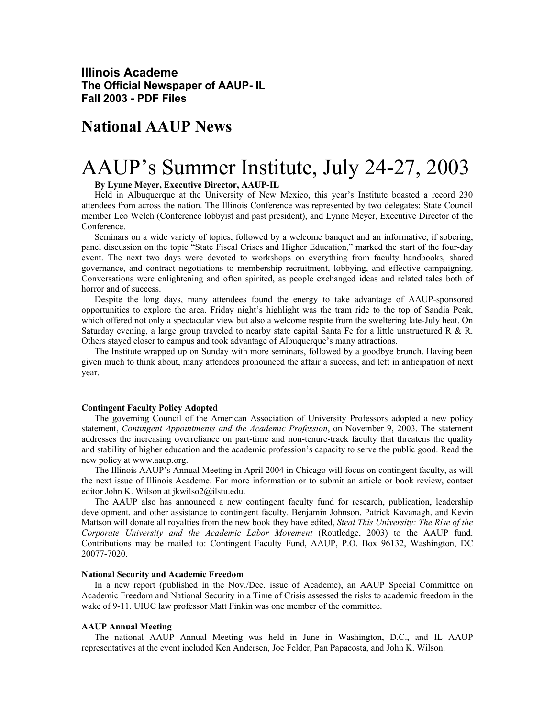**Illinois Academe The Official Newspaper of AAUP- IL Fall 2003 - PDF Files** 

# **National AAUP News**

# AAUP's Summer Institute, July 24-27, 2003

## **By Lynne Meyer, Executive Director, AAUP-IL**

Held in Albuquerque at the University of New Mexico, this year's Institute boasted a record 230 attendees from across the nation. The Illinois Conference was represented by two delegates: State Council member Leo Welch (Conference lobbyist and past president), and Lynne Meyer, Executive Director of the Conference.

Seminars on a wide variety of topics, followed by a welcome banquet and an informative, if sobering, panel discussion on the topic "State Fiscal Crises and Higher Education," marked the start of the four-day event. The next two days were devoted to workshops on everything from faculty handbooks, shared governance, and contract negotiations to membership recruitment, lobbying, and effective campaigning. Conversations were enlightening and often spirited, as people exchanged ideas and related tales both of horror and of success.

Despite the long days, many attendees found the energy to take advantage of AAUP-sponsored opportunities to explore the area. Friday night's highlight was the tram ride to the top of Sandia Peak, which offered not only a spectacular view but also a welcome respite from the sweltering late-July heat. On Saturday evening, a large group traveled to nearby state capital Santa Fe for a little unstructured R & R. Others stayed closer to campus and took advantage of Albuquerque's many attractions.

The Institute wrapped up on Sunday with more seminars, followed by a goodbye brunch. Having been given much to think about, many attendees pronounced the affair a success, and left in anticipation of next year.

#### **Contingent Faculty Policy Adopted**

The governing Council of the American Association of University Professors adopted a new policy statement, *Contingent Appointments and the Academic Profession*, on November 9, 2003. The statement addresses the increasing overreliance on part-time and non-tenure-track faculty that threatens the quality and stability of higher education and the academic profession's capacity to serve the public good. Read the new policy at www.aaup.org.

The Illinois AAUP's Annual Meeting in April 2004 in Chicago will focus on contingent faculty, as will the next issue of Illinois Academe. For more information or to submit an article or book review, contact editor John K. Wilson at jkwilso2@ilstu.edu.

The AAUP also has announced a new contingent faculty fund for research, publication, leadership development, and other assistance to contingent faculty. Benjamin Johnson, Patrick Kavanagh, and Kevin Mattson will donate all royalties from the new book they have edited, *Steal This University: The Rise of the Corporate University and the Academic Labor Movement* (Routledge, 2003) to the AAUP fund. Contributions may be mailed to: Contingent Faculty Fund, AAUP, P.O. Box 96132, Washington, DC 20077-7020.

### **National Security and Academic Freedom**

In a new report (published in the Nov./Dec. issue of Academe), an AAUP Special Committee on Academic Freedom and National Security in a Time of Crisis assessed the risks to academic freedom in the wake of 9-11. UIUC law professor Matt Finkin was one member of the committee.

#### **AAUP Annual Meeting**

The national AAUP Annual Meeting was held in June in Washington, D.C., and IL AAUP representatives at the event included Ken Andersen, Joe Felder, Pan Papacosta, and John K. Wilson.